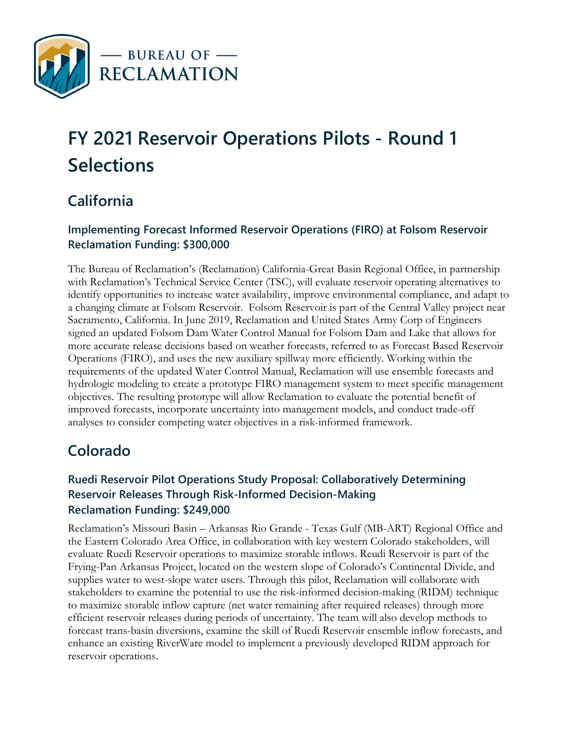

# **FY 2021 Reservoir Operations Pilots - Round 1 Selections**

# **California**

#### **Implementing Forecast Informed Reservoir Operations (FIRO) at Folsom Reservoir Reclamation Funding: \$300,000**

The Bureau of Reclamation's (Reclamation) California-Great Basin Regional Office, in partnership with Reclamation's Technical Service Center (TSC), will evaluate reservoir operating alternatives to identify opportunities to increase water availability, improve environmental compliance, and adapt to a changing climate at Folsom Reservoir. Folsom Reservoir is part of the Central Valley project near Sacramento, California. In June 2019, Reclamation and United States Army Corp of Engineers signed an updated Folsom Dam Water Control Manual for Folsom Dam and Lake that allows for more accurate release decisions based on weather forecasts, referred to as Forecast Based Reservoir Operations (FIRO), and uses the new auxiliary spillway more efficiently. Working within the requirements of the updated Water Control Manual, Reclamation will use ensemble forecasts and hydrologic modeling to create a prototype FIRO management system to meet specific management objectives. The resulting prototype will allow Reclamation to evaluate the potential benefit of improved forecasts, incorporate uncertainty into management models, and conduct trade-off analyses to consider competing water objectives in a risk-informed framework.

## **Colorado**

#### **Ruedi Reservoir Pilot Operations Study Proposal: Collaboratively Determining Reservoir Releases Through Risk-Informed Decision-Making Reclamation Funding: \$249,000**

Reclamation's Missouri Basin – Arkansas Rio Grande - Texas Gulf (MB-ART) Regional Office and the Eastern Colorado Area Office, in collaboration with key western Colorado stakeholders, will evaluate Ruedi Reservoir operations to maximize storable inflows. Reudi Reservoir is part of the Frying-Pan Arkansas Project, located on the western slope of Colorado's Continental Divide, and supplies water to west-slope water users. Through this pilot, Reclamation will collaborate with stakeholders to examine the potential to use the risk-informed decision-making (RIDM) technique to maximize storable inflow capture (net water remaining after required releases) through more efficient reservoir releases during periods of uncertainty. The team will also develop methods to forecast trans-basin diversions, examine the skill of Ruedi Reservoir ensemble inflow forecasts, and enhance an existing RiverWare model to implement a previously developed RIDM approach for reservoir operations.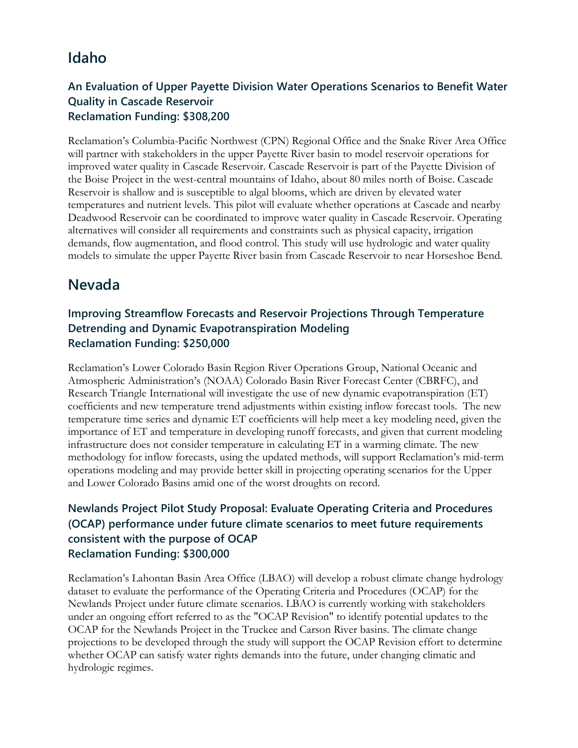### **Idaho**

#### **An Evaluation of Upper Payette Division Water Operations Scenarios to Benefit Water Quality in Cascade Reservoir Reclamation Funding: \$308,200**

Reclamation's Columbia-Pacific Northwest (CPN) Regional Office and the Snake River Area Office will partner with stakeholders in the upper Payette River basin to model reservoir operations for improved water quality in Cascade Reservoir. Cascade Reservoir is part of the Payette Division of the Boise Project in the west-central mountains of Idaho, about 80 miles north of Boise. Cascade Reservoir is shallow and is susceptible to algal blooms, which are driven by elevated water temperatures and nutrient levels. This pilot will evaluate whether operations at Cascade and nearby Deadwood Reservoir can be coordinated to improve water quality in Cascade Reservoir. Operating alternatives will consider all requirements and constraints such as physical capacity, irrigation demands, flow augmentation, and flood control. This study will use hydrologic and water quality models to simulate the upper Payette River basin from Cascade Reservoir to near Horseshoe Bend.

## **Nevada**

#### **Improving Streamflow Forecasts and Reservoir Projections Through Temperature Detrending and Dynamic Evapotranspiration Modeling Reclamation Funding: \$250,000**

Reclamation's Lower Colorado Basin Region River Operations Group, National Oceanic and Atmospheric Administration's (NOAA) Colorado Basin River Forecast Center (CBRFC), and Research Triangle International will investigate the use of new dynamic evapotranspiration (ET) coefficients and new temperature trend adjustments within existing inflow forecast tools. The new temperature time series and dynamic ET coefficients will help meet a key modeling need, given the importance of ET and temperature in developing runoff forecasts, and given that current modeling infrastructure does not consider temperature in calculating ET in a warming climate. The new methodology for inflow forecasts, using the updated methods, will support Reclamation's mid-term operations modeling and may provide better skill in projecting operating scenarios for the Upper and Lower Colorado Basins amid one of the worst droughts on record.

#### **Newlands Project Pilot Study Proposal: Evaluate Operating Criteria and Procedures (OCAP) performance under future climate scenarios to meet future requirements consistent with the purpose of OCAP Reclamation Funding: \$300,000**

Reclamation's Lahontan Basin Area Office (LBAO) will develop a robust climate change hydrology dataset to evaluate the performance of the Operating Criteria and Procedures (OCAP) for the Newlands Project under future climate scenarios. LBAO is currently working with stakeholders under an ongoing effort referred to as the "OCAP Revision" to identify potential updates to the OCAP for the Newlands Project in the Truckee and Carson River basins. The climate change projections to be developed through the study will support the OCAP Revision effort to determine whether OCAP can satisfy water rights demands into the future, under changing climatic and hydrologic regimes.